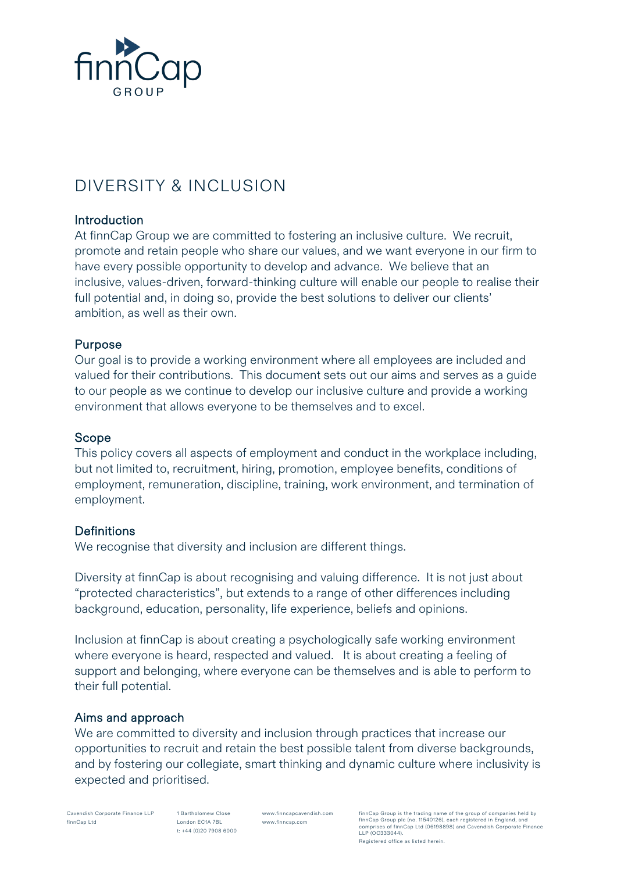

# DIVERSITY & INCLUSION

## Introduction

At finnCap Group we are committed to fostering an inclusive culture. We recruit, promote and retain people who share our values, and we want everyone in our firm to have every possible opportunity to develop and advance. We believe that an inclusive, values-driven, forward-thinking culture will enable our people to realise their full potential and, in doing so, provide the best solutions to deliver our clients' ambition, as well as their own.

## Purpose

Our goal is to provide a working environment where all employees are included and valued for their contributions. This document sets out our aims and serves as a guide to our people as we continue to develop our inclusive culture and provide a working environment that allows everyone to be themselves and to excel.

#### Scope

This policy covers all aspects of employment and conduct in the workplace including, but not limited to, recruitment, hiring, promotion, employee benefits, conditions of employment, remuneration, discipline, training, work environment, and termination of employment.

## **Definitions**

We recognise that diversity and inclusion are different things.

Diversity at finnCap is about recognising and valuing difference. It is not just about "protected characteristics", but extends to a range of other differences including background, education, personality, life experience, beliefs and opinions.

Inclusion at finnCap is about creating a psychologically safe working environment where everyone is heard, respected and valued. It is about creating a feeling of support and belonging, where everyone can be themselves and is able to perform to their full potential.

## Aims and approach

We are committed to diversity and inclusion through practices that increase our opportunities to recruit and retain the best possible talent from diverse backgrounds, and by fostering our collegiate, smart thinking and dynamic culture where inclusivity is expected and prioritised.

Cavendish Corporate Finance LLP finnCap Ltd

1 Bartholomew Close London EC1A 7BL t: +44 (0)20 7908 6000

www.finncapcavendish.com www.finncap.com

.<br>Cap Group is the trading name of the group of companies held by finnCap Group plc (no. 11540126), each registered in England, and comprises of finnCap Ltd (06198898) and Cavendish Corporate Finance LLP (OC333044).

Registered office as listed herein.